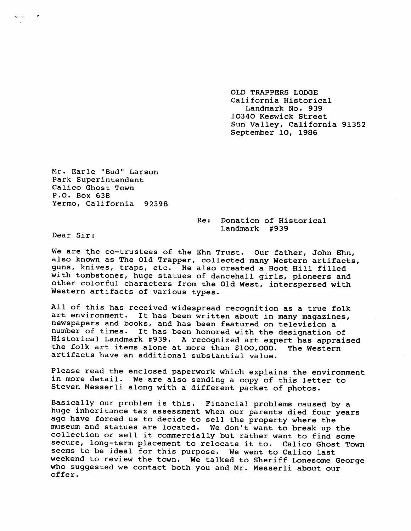OLD TRAPPERS LODGE California Historical Landmark No. 939 10340 Keswick Street Sun Valley, California 91352 September 10, 1986

Mr. Earle "Bud" Larson Park Superintendent Calico Ghost Town P.O. Box 638 Yermo, California 92398

> Re: Donation of Historical Landmark # 939

Dear Sir:

We are the co-trustees of the Ehn Trust. Our father, John Ehn, also known as The Old Trapper, collected many Western artifacts, guns, knives, traps, etc. He also created a Boot Hill filled with tombstones, huge statues of dancehall girls, pioneers and other colorful characters from the Old West, interspersed with Western artifacts of various types.

All of this has received widespread recognition as a true folk art environment. It has been written about in many magazines, new spapers and books, and has been featured on television a number of times. It has been honored with the designation of Historical Landmark #939. A recognized art expert has appraised the folk art items alone at more than \$100,000. The Western artifacts have an additional substantial value.

Please read the enclosed paperwork which explains the environment in more detail. We are also sending a copy of this letter to Steven Messerli along with a different packet of photos.

Basically our problem is this. Financial problems caused by a huge inheritance tax assessment when our parents died four years ago have forced us to decide to sell the property where the museum and statues are located. We don't want to break up the collection or sell it commercially but rather want to find some secure, long-term placement to relocate it to. Calico Ghost Town seems to be ideal for this purpose. We went to Calico last weekend to review the town. We talked to Sheriff Lonesome George who suggested we contact both you and Mr. Messerli about our offer.